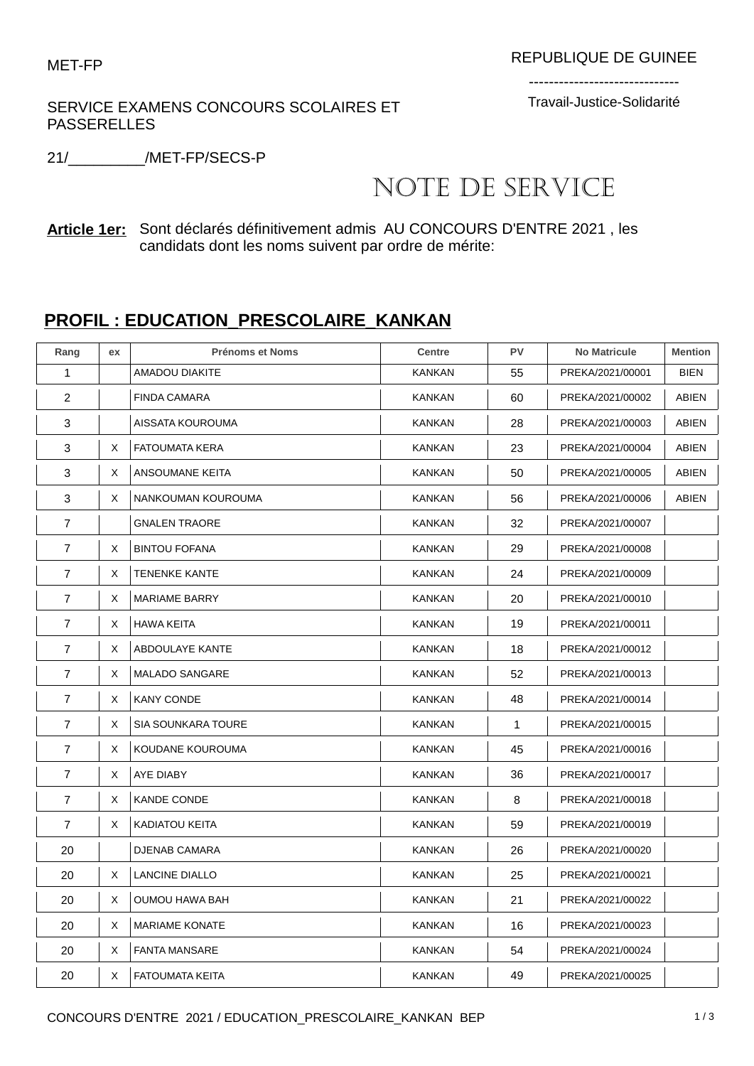## SERVICE EXAMENS CONCOURS SCOLAIRES ET PASSERELLES

------------------------------ Travail-Justice-Solidarité

21/\_\_\_\_\_\_\_\_\_/MET-FP/SECS-P

## NOTE DE SERVICE

**Article 1er:** Sont déclarés définitivement admis AU CONCOURS D'ENTRE 2021 , les candidats dont les noms suivent par ordre de mérite:

## **PROFIL : EDUCATION\_PRESCOLAIRE\_KANKAN**

| Rang           | ex | <b>Prénoms et Noms</b>    | Centre        | PV | <b>No Matricule</b> | <b>Mention</b> |
|----------------|----|---------------------------|---------------|----|---------------------|----------------|
| $\mathbf{1}$   |    | <b>AMADOU DIAKITE</b>     | KANKAN        | 55 | PREKA/2021/00001    | <b>BIEN</b>    |
| 2              |    | <b>FINDA CAMARA</b>       | KANKAN        | 60 | PREKA/2021/00002    | <b>ABIEN</b>   |
| 3              |    | AISSATA KOUROUMA          | <b>KANKAN</b> | 28 | PREKA/2021/00003    | <b>ABIEN</b>   |
| 3              | X  | <b>FATOUMATA KERA</b>     | KANKAN        | 23 | PREKA/2021/00004    | ABIEN          |
| 3              | Χ  | ANSOUMANE KEITA           | KANKAN        | 50 | PREKA/2021/00005    | <b>ABIEN</b>   |
| 3              | X  | NANKOUMAN KOUROUMA        | KANKAN        | 56 | PREKA/2021/00006    | ABIEN          |
| 7              |    | <b>GNALEN TRAORE</b>      | KANKAN        | 32 | PREKA/2021/00007    |                |
| 7              | Χ  | <b>BINTOU FOFANA</b>      | KANKAN        | 29 | PREKA/2021/00008    |                |
| 7              | Χ  | <b>TENENKE KANTE</b>      | <b>KANKAN</b> | 24 | PREKA/2021/00009    |                |
| $\overline{7}$ | X  | <b>MARIAME BARRY</b>      | KANKAN        | 20 | PREKA/2021/00010    |                |
| $\overline{7}$ | X  | <b>HAWA KEITA</b>         | <b>KANKAN</b> | 19 | PREKA/2021/00011    |                |
| 7              | Χ  | ABDOULAYE KANTE           | KANKAN        | 18 | PREKA/2021/00012    |                |
| $\overline{7}$ | Χ  | <b>MALADO SANGARE</b>     | <b>KANKAN</b> | 52 | PREKA/2021/00013    |                |
| 7              | X  | <b>KANY CONDE</b>         | <b>KANKAN</b> | 48 | PREKA/2021/00014    |                |
| 7              | X  | <b>SIA SOUNKARA TOURE</b> | KANKAN        | 1  | PREKA/2021/00015    |                |
| 7              | Χ  | KOUDANE KOUROUMA          | KANKAN        | 45 | PREKA/2021/00016    |                |
| $\overline{7}$ | Χ  | AYE DIABY                 | KANKAN        | 36 | PREKA/2021/00017    |                |
| 7              | X  | KANDE CONDE               | KANKAN        | 8  | PREKA/2021/00018    |                |
| $\overline{7}$ | Χ  | <b>KADIATOU KEITA</b>     | KANKAN        | 59 | PREKA/2021/00019    |                |
| 20             |    | <b>DJENAB CAMARA</b>      | KANKAN        | 26 | PREKA/2021/00020    |                |
| 20             | Χ  | LANCINE DIALLO            | KANKAN        | 25 | PREKA/2021/00021    |                |
| 20             | X  | <b>OUMOU HAWA BAH</b>     | KANKAN        | 21 | PREKA/2021/00022    |                |
| 20             | X  | <b>MARIAME KONATE</b>     | KANKAN        | 16 | PREKA/2021/00023    |                |
| 20             | X  | <b>FANTA MANSARE</b>      | KANKAN        | 54 | PREKA/2021/00024    |                |
| 20             | Χ  | <b>FATOUMATA KEITA</b>    | KANKAN        | 49 | PREKA/2021/00025    |                |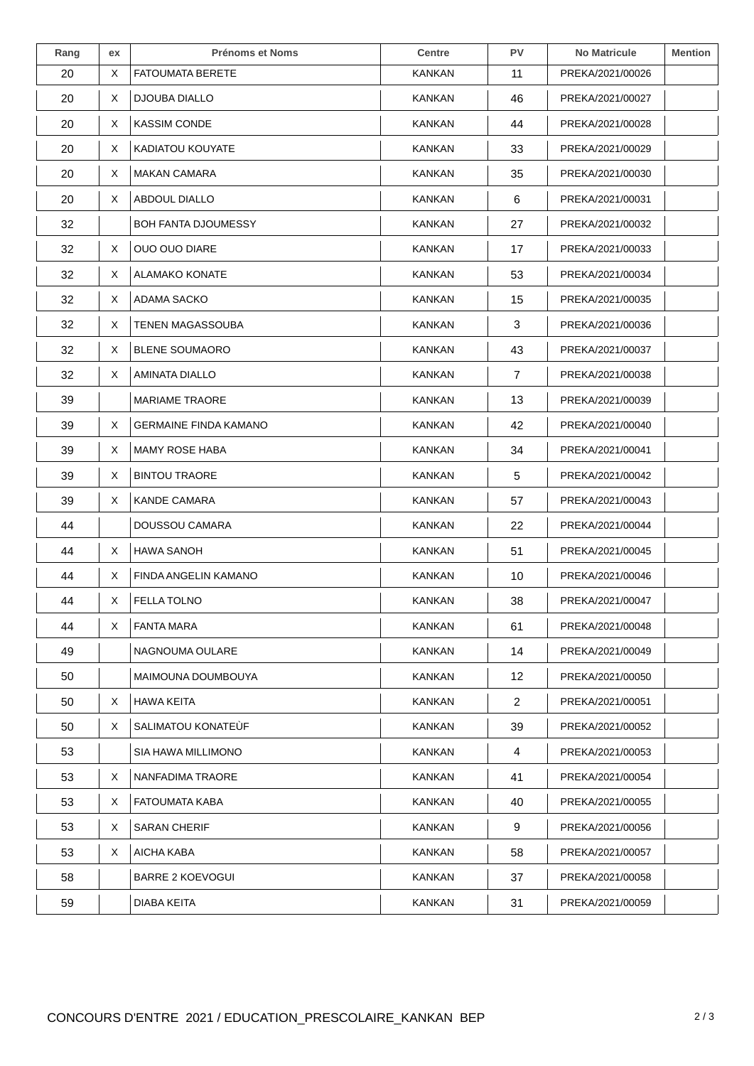| Rang | ex | <b>Prénoms et Noms</b>       | <b>Centre</b> | <b>PV</b>       | <b>No Matricule</b> | <b>Mention</b> |
|------|----|------------------------------|---------------|-----------------|---------------------|----------------|
| 20   | X  | <b>FATOUMATA BERETE</b>      | <b>KANKAN</b> | 11              | PREKA/2021/00026    |                |
| 20   | X  | <b>DJOUBA DIALLO</b>         | <b>KANKAN</b> | 46              | PREKA/2021/00027    |                |
| 20   | X  | <b>KASSIM CONDE</b>          | <b>KANKAN</b> | 44              | PREKA/2021/00028    |                |
| 20   | X  | KADIATOU KOUYATE             | KANKAN        | 33              | PREKA/2021/00029    |                |
| 20   | X  | <b>MAKAN CAMARA</b>          | <b>KANKAN</b> | 35              | PREKA/2021/00030    |                |
| 20   | X  | ABDOUL DIALLO                | <b>KANKAN</b> | 6               | PREKA/2021/00031    |                |
| 32   |    | <b>BOH FANTA DJOUMESSY</b>   | <b>KANKAN</b> | 27              | PREKA/2021/00032    |                |
| 32   | X  | <b>OUO OUO DIARE</b>         | KANKAN        | 17              | PREKA/2021/00033    |                |
| 32   | X  | ALAMAKO KONATE               | <b>KANKAN</b> | 53              | PREKA/2021/00034    |                |
| 32   | X  | ADAMA SACKO                  | <b>KANKAN</b> | 15              | PREKA/2021/00035    |                |
| 32   | X  | <b>TENEN MAGASSOUBA</b>      | KANKAN        | 3               | PREKA/2021/00036    |                |
| 32   | X  | <b>BLENE SOUMAORO</b>        | KANKAN        | 43              | PREKA/2021/00037    |                |
| 32   | X  | <b>AMINATA DIALLO</b>        | <b>KANKAN</b> | $\overline{7}$  | PREKA/2021/00038    |                |
| 39   |    | MARIAME TRAORE               | <b>KANKAN</b> | 13              | PREKA/2021/00039    |                |
| 39   | X  | <b>GERMAINE FINDA KAMANO</b> | KANKAN        | 42              | PREKA/2021/00040    |                |
| 39   | X  | <b>MAMY ROSE HABA</b>        | <b>KANKAN</b> | 34              | PREKA/2021/00041    |                |
| 39   | X  | <b>BINTOU TRAORE</b>         | KANKAN        | 5               | PREKA/2021/00042    |                |
| 39   | X  | <b>KANDE CAMARA</b>          | <b>KANKAN</b> | 57              | PREKA/2021/00043    |                |
| 44   |    | DOUSSOU CAMARA               | <b>KANKAN</b> | 22              | PREKA/2021/00044    |                |
| 44   | X  | <b>HAWA SANOH</b>            | <b>KANKAN</b> | 51              | PREKA/2021/00045    |                |
| 44   | X  | FINDA ANGELIN KAMANO         | KANKAN        | 10              | PREKA/2021/00046    |                |
| 44   | X  | <b>FELLA TOLNO</b>           | <b>KANKAN</b> | 38              | PREKA/2021/00047    |                |
| 44   | X  | <b>FANTA MARA</b>            | <b>KANKAN</b> | 61              | PREKA/2021/00048    |                |
| 49   |    | NAGNOUMA OULARE              | <b>KANKAN</b> | 14              | PREKA/2021/00049    |                |
| 50   |    | MAIMOUNA DOUMBOUYA           | KANKAN        | 12 <sup>2</sup> | PREKA/2021/00050    |                |
| 50   | X  | <b>HAWA KEITA</b>            | <b>KANKAN</b> | $\overline{2}$  | PREKA/2021/00051    |                |
| 50   | X  | SALIMATOU KONATEUR           | <b>KANKAN</b> | 39              | PREKA/2021/00052    |                |
| 53   |    | SIA HAWA MILLIMONO           | <b>KANKAN</b> | 4               | PREKA/2021/00053    |                |
| 53   | X  | NANFADIMA TRAORE             | <b>KANKAN</b> | 41              | PREKA/2021/00054    |                |
| 53   | X  | FATOUMATA KABA               | KANKAN        | 40              | PREKA/2021/00055    |                |
| 53   | X  | <b>SARAN CHERIF</b>          | <b>KANKAN</b> | 9               | PREKA/2021/00056    |                |
| 53   | Χ  | AICHA KABA                   | <b>KANKAN</b> | 58              | PREKA/2021/00057    |                |
| 58   |    | <b>BARRE 2 KOEVOGUI</b>      | <b>KANKAN</b> | 37              | PREKA/2021/00058    |                |
| 59   |    | DIABA KEITA                  | <b>KANKAN</b> | 31              | PREKA/2021/00059    |                |